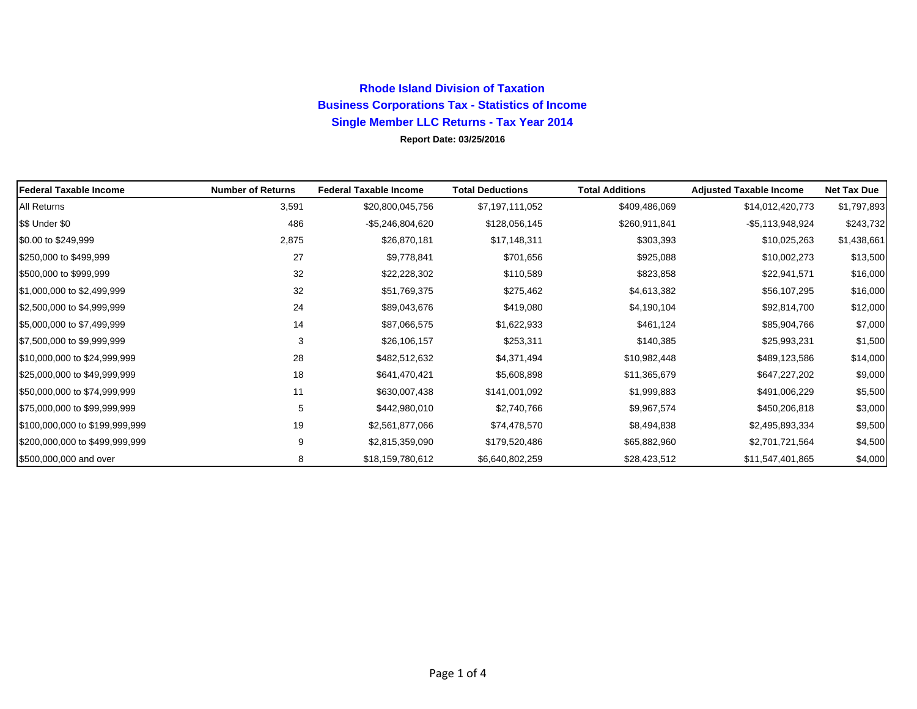# **Rhode Island Division of Taxation Business Corporations Tax - Statistics of Income Single Member LLC Returns - Tax Year 2014**

#### **Report Date: 03/25/2016**

| <b>IFederal Taxable Income</b> | <b>Number of Returns</b> | <b>Federal Taxable Income</b> | <b>Total Deductions</b> | <b>Total Additions</b> | <b>Adjusted Taxable Income</b> | <b>Net Tax Due</b> |
|--------------------------------|--------------------------|-------------------------------|-------------------------|------------------------|--------------------------------|--------------------|
| All Returns                    | 3,591                    | \$20,800,045,756              | \$7,197,111,052         | \$409,486,069          | \$14,012,420,773               | \$1,797,893        |
| \$\$ Under \$0                 | 486                      | -\$5,246,804,620              | \$128,056,145           | \$260,911,841          | $-$ \$5,113,948,924            | \$243,732          |
| \$0.00 to \$249,999            | 2,875                    | \$26,870,181                  | \$17,148,311            | \$303,393              | \$10,025,263                   | \$1,438,661        |
| \$250,000 to \$499,999         | 27                       | \$9,778,841                   | \$701,656               | \$925,088              | \$10,002,273                   | \$13,500           |
| \$500,000 to \$999,999         | 32                       | \$22,228,302                  | \$110,589               | \$823,858              | \$22,941,571                   | \$16,000           |
| \$1,000,000 to \$2,499,999     | 32                       | \$51,769,375                  | \$275,462               | \$4,613,382            | \$56,107,295                   | \$16,000           |
| \$2,500,000 to \$4,999,999     | 24                       | \$89,043,676                  | \$419,080               | \$4,190,104            | \$92,814,700                   | \$12,000           |
| \$5,000,000 to \$7,499,999     | 14                       | \$87,066,575                  | \$1,622,933             | \$461,124              | \$85,904,766                   | \$7,000            |
| \$7,500,000 to \$9,999,999     | 3                        | \$26,106,157                  | \$253,311               | \$140,385              | \$25,993,231                   | \$1,500            |
| \$10,000,000 to \$24,999,999   | 28                       | \$482,512,632                 | \$4,371,494             | \$10,982,448           | \$489,123,586                  | \$14,000           |
| \$25,000,000 to \$49,999,999   | 18                       | \$641,470,421                 | \$5,608,898             | \$11,365,679           | \$647,227,202                  | \$9,000            |
| \$50,000,000 to \$74,999,999   | 11                       | \$630,007,438                 | \$141,001,092           | \$1,999,883            | \$491,006,229                  | \$5,500            |
| \$75,000,000 to \$99,999,999   | 5                        | \$442,980,010                 | \$2,740,766             | \$9,967,574            | \$450,206,818                  | \$3,000            |
| \$100,000,000 to \$199,999,999 | 19                       | \$2,561,877,066               | \$74,478,570            | \$8,494,838            | \$2,495,893,334                | \$9,500            |
| \$200,000,000 to \$499,999,999 | 9                        | \$2,815,359,090               | \$179,520,486           | \$65,882,960           | \$2,701,721,564                | \$4,500            |
| \$500,000,000 and over         | 8                        | \$18,159,780,612              | \$6,640,802,259         | \$28,423,512           | \$11,547,401,865               | \$4,000            |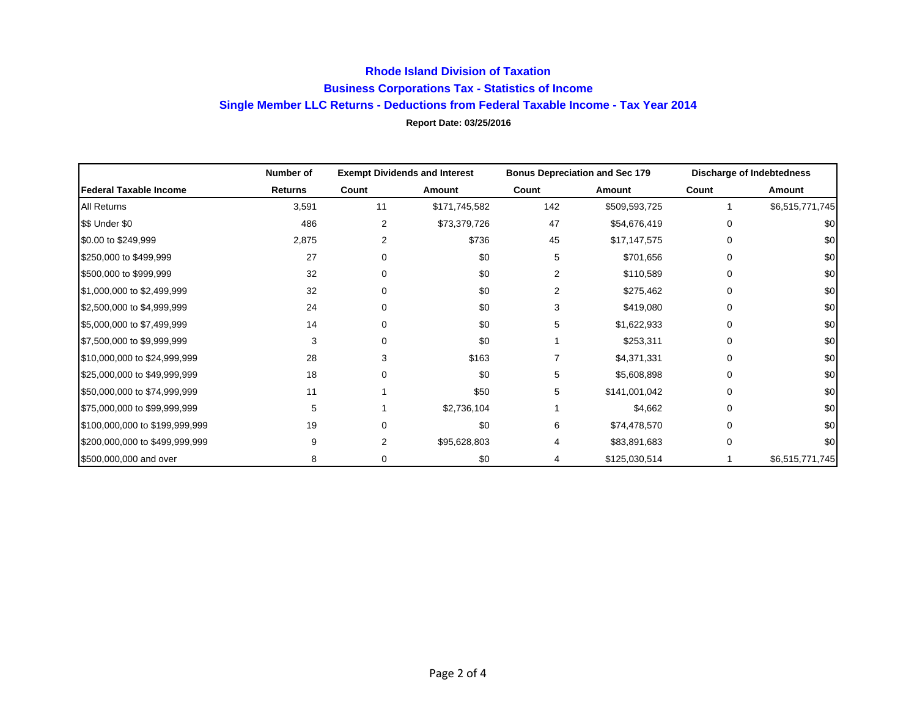# **Single Member LLC Returns - Deductions from Federal Taxable Income - Tax Year 2014 Report Date: 03/25/2016 Rhode Island Division of TaxationBusiness Corporations Tax - Statistics of Income**

|                                | Number of      | <b>Exempt Dividends and Interest</b> |               | <b>Bonus Depreciation and Sec 179</b> |               | <b>Discharge of Indebtedness</b> |                 |
|--------------------------------|----------------|--------------------------------------|---------------|---------------------------------------|---------------|----------------------------------|-----------------|
| <b>IFederal Taxable Income</b> | <b>Returns</b> | Count                                | <b>Amount</b> | Count                                 | <b>Amount</b> | Count                            | Amount          |
| <b>All Returns</b>             | 3,591          | 11                                   | \$171,745,582 | 142                                   | \$509,593,725 |                                  | \$6,515,771,745 |
| \$\$ Under \$0                 | 486            | 2                                    | \$73,379,726  | 47                                    | \$54,676,419  | 0                                | \$0             |
| \$0.00 to \$249,999            | 2,875          |                                      | \$736         | 45                                    | \$17,147,575  | 0                                | \$0             |
| \$250,000 to \$499,999         | 27             | 0                                    | \$0           | 5                                     | \$701,656     | 0                                | \$0             |
| \$500,000 to \$999,999         | 32             | 0                                    | \$0           | 2                                     | \$110,589     | 0                                | \$0             |
| \$1,000,000 to \$2,499,999     | 32             |                                      | \$0           | 2                                     | \$275,462     | 0                                | \$0             |
| \$2,500,000 to \$4,999,999     | 24             | Ω                                    | \$0           | 3                                     | \$419,080     | 0                                | \$0             |
| \$5,000,000 to \$7,499,999     | 14             | 0                                    | \$0           | 5                                     | \$1,622,933   | 0                                | \$0             |
| \$7,500,000 to \$9,999,999     | 3              | 0                                    | \$0           |                                       | \$253,311     | 0                                | \$0             |
| \$10,000,000 to \$24,999,999   | 28             | 3                                    | \$163         |                                       | \$4,371,331   | 0                                | \$0             |
| \$25,000,000 to \$49,999,999   | 18             | $\Omega$                             | \$0           | 5                                     | \$5,608,898   | 0                                | \$0             |
| \$50,000,000 to \$74,999,999   | 11             |                                      | \$50          | 5                                     | \$141,001,042 | 0                                | \$0             |
| \$75,000,000 to \$99,999,999   | 5              |                                      | \$2,736,104   |                                       | \$4,662       | 0                                | \$0             |
| \$100,000,000 to \$199,999,999 | 19             |                                      | \$0           | 6                                     | \$74,478,570  | 0                                | \$0             |
| \$200,000,000 to \$499,999,999 | 9              | 2                                    | \$95,628,803  | 4                                     | \$83,891,683  | n                                | \$0             |
| \$500,000,000 and over         | 8              | 0                                    | \$0           | 4                                     | \$125,030,514 |                                  | \$6,515,771,745 |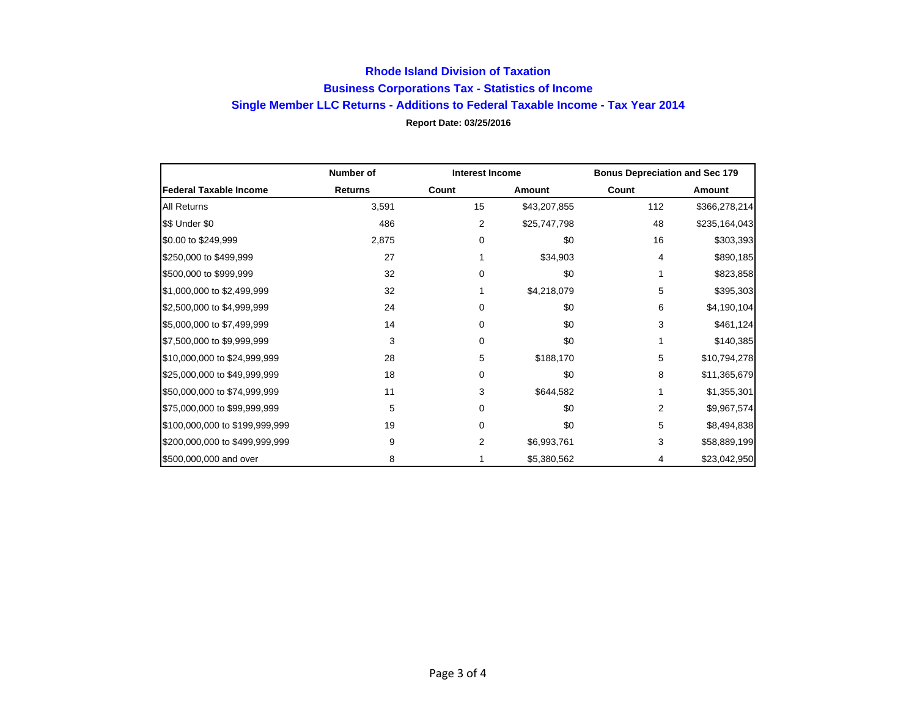## **Rhode Island Division of Taxation Business Corporations Tax - Statistics of Income Single Member LLC Returns - Additions to Federal Taxable Income - Tax Year 2014 Report Date: 03/25/2016**

|                                | Number of      | <b>Interest Income</b> |              | <b>Bonus Depreciation and Sec 179</b> |               |
|--------------------------------|----------------|------------------------|--------------|---------------------------------------|---------------|
| <b>Federal Taxable Income</b>  | <b>Returns</b> | Count                  | Amount       | Count                                 | Amount        |
| All Returns                    | 3,591          | 15                     | \$43,207,855 | 112                                   | \$366,278,214 |
| \$\$ Under \$0                 | 486            | $\overline{2}$         | \$25,747,798 | 48                                    | \$235,164,043 |
| \$0.00 to \$249,999            | 2,875          | 0                      | \$0          | 16                                    | \$303,393     |
| \$250,000 to \$499,999         | 27             |                        | \$34,903     | 4                                     | \$890,185     |
| \$500,000 to \$999,999         | 32             | 0                      | \$0          |                                       | \$823,858     |
| \$1,000,000 to \$2,499,999     | 32             |                        | \$4,218,079  | 5                                     | \$395,303     |
| \$2,500,000 to \$4,999,999     | 24             | 0                      | \$0          | 6                                     | \$4,190,104   |
| \$5,000,000 to \$7,499,999     | 14             | 0                      | \$0          | 3                                     | \$461,124     |
| \$7,500,000 to \$9,999,999     | 3              | 0                      | \$0          |                                       | \$140,385     |
| \$10,000,000 to \$24,999,999   | 28             | 5                      | \$188,170    | 5                                     | \$10,794,278  |
| \$25,000,000 to \$49,999,999   | 18             | 0                      | \$0          | 8                                     | \$11,365,679  |
| \$50,000,000 to \$74,999,999   | 11             | 3                      | \$644,582    |                                       | \$1,355,301   |
| \$75,000,000 to \$99,999,999   | 5              | 0                      | \$0          | 2                                     | \$9,967,574   |
| \$100,000,000 to \$199,999,999 | 19             | 0                      | \$0          | 5                                     | \$8,494,838   |
| \$200,000,000 to \$499,999,999 | 9              | $\overline{2}$         | \$6,993,761  | 3                                     | \$58,889,199  |
| \$500,000,000 and over         | 8              |                        | \$5,380,562  | 4                                     | \$23,042,950  |